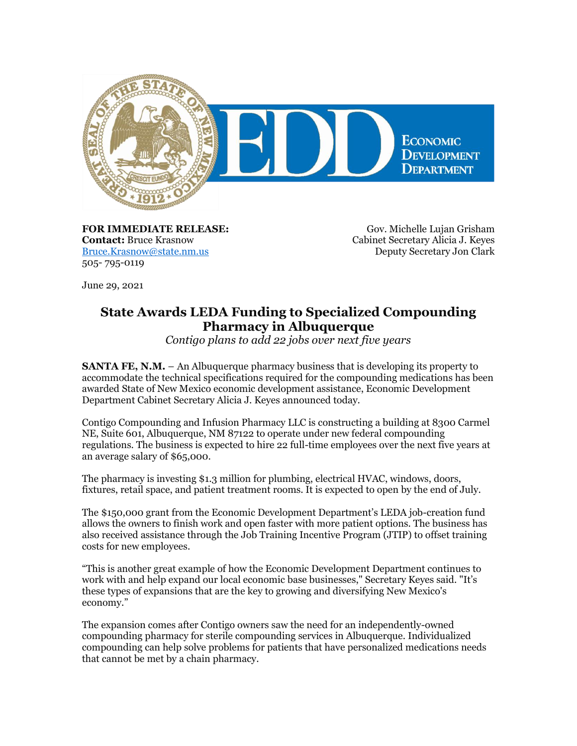

**FOR IMMEDIATE RELEASE: Contact:** Bruce Krasnow [Bruce.Krasnow@state.nm.us](mailto:Bruce.Krasnow@state.nm.us) 505- 795-0119

Gov. Michelle Lujan Grisham Cabinet Secretary Alicia J. Keyes Deputy Secretary Jon Clark

June 29, 2021

## **State Awards LEDA Funding to Specialized Compounding Pharmacy in Albuquerque**

*Contigo plans to add 22 jobs over next five years*

**SANTA FE, N.M.** – An Albuquerque pharmacy business that is developing its property to accommodate the technical specifications required for the compounding medications has been awarded State of New Mexico economic development assistance, Economic Development Department Cabinet Secretary Alicia J. Keyes announced today.

Contigo Compounding and Infusion Pharmacy LLC is constructing a building at 8300 Carmel NE, Suite 601, Albuquerque, NM 87122 to operate under new federal compounding regulations. The business is expected to hire 22 full-time employees over the next five years at an average salary of \$65,000.

The pharmacy is investing \$1.3 million for plumbing, electrical HVAC, windows, doors, fixtures, retail space, and patient treatment rooms. It is expected to open by the end of July.

The \$150,000 grant from the Economic Development Department's LEDA job-creation fund allows the owners to finish work and open faster with more patient options. The business has also received assistance through the Job Training Incentive Program (JTIP) to offset training costs for new employees.

"This is another great example of how the Economic Development Department continues to work with and help expand our local economic base businesses," Secretary Keyes said. "It's these types of expansions that are the key to growing and diversifying New Mexico's economy."

The expansion comes after Contigo owners saw the need for an independently-owned compounding pharmacy for sterile compounding services in Albuquerque. Individualized compounding can help solve problems for patients that have personalized medications needs that cannot be met by a chain pharmacy.